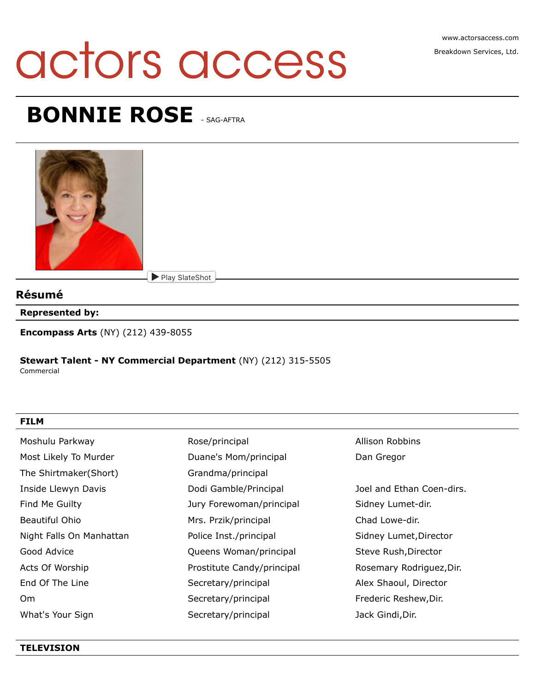# actors access

# **BONNIE ROSE - SAG-AFTRA**



# **Résumé**

**Represented by:**

**Encompass Arts** (NY) (212) 439-8055

### **Stewart Talent - NY Commercial Department** (NY) (212) 315-5505

Commercial

#### **FILM**

| Moshulu Parkway          | Rose/principal             | Allison Robbins           |
|--------------------------|----------------------------|---------------------------|
| Most Likely To Murder    | Duane's Mom/principal      | Dan Gregor                |
| The Shirtmaker(Short)    | Grandma/principal          |                           |
| Inside Llewyn Davis      | Dodi Gamble/Principal      | Joel and Ethan Coen-dirs. |
| Find Me Guilty           | Jury Forewoman/principal   | Sidney Lumet-dir.         |
| Beautiful Ohio           | Mrs. Przik/principal       | Chad Lowe-dir.            |
| Night Falls On Manhattan | Police Inst./principal     | Sidney Lumet, Director    |
| Good Advice              | Queens Woman/principal     | Steve Rush, Director      |
| Acts Of Worship          | Prostitute Candy/principal | Rosemary Rodriguez, Dir.  |
| End Of The Line          | Secretary/principal        | Alex Shaoul, Director     |
| 0 <sub>m</sub>           | Secretary/principal        | Frederic Reshew, Dir.     |
| What's Your Sign         | Secretary/principal        | Jack Gindi, Dir.          |

#### **TELEVISION**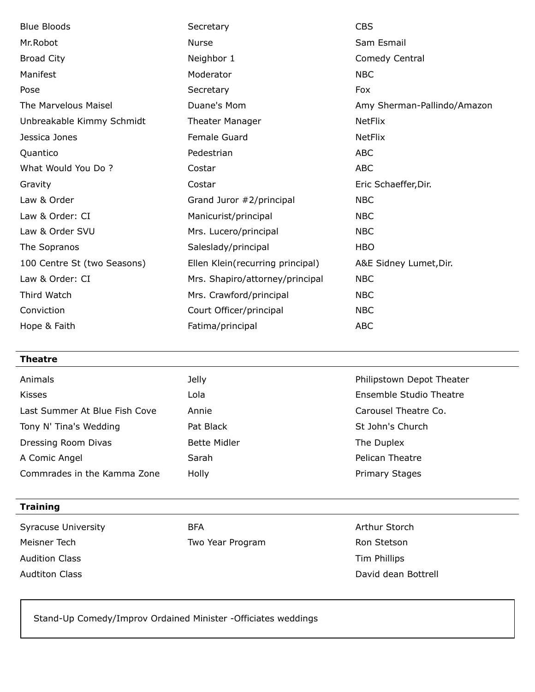| <b>Blue Bloods</b>          | Secretary                        | <b>CBS</b>                  |
|-----------------------------|----------------------------------|-----------------------------|
| Mr.Robot                    | <b>Nurse</b>                     | Sam Esmail                  |
| <b>Broad City</b>           | Neighbor 1                       | Comedy Central              |
| Manifest                    | Moderator                        | <b>NBC</b>                  |
| Pose                        | Secretary                        | Fox                         |
| The Marvelous Maisel        | Duane's Mom                      | Amy Sherman-Pallindo/Amazon |
| Unbreakable Kimmy Schmidt   | <b>Theater Manager</b>           | <b>NetFlix</b>              |
| Jessica Jones               | Female Guard                     | <b>NetFlix</b>              |
| Quantico                    | Pedestrian                       | <b>ABC</b>                  |
| What Would You Do?          | Costar                           | <b>ABC</b>                  |
| Gravity                     | Costar                           | Eric Schaeffer, Dir.        |
| Law & Order                 | Grand Juror #2/principal         | <b>NBC</b>                  |
| Law & Order: CI             | Manicurist/principal             | <b>NBC</b>                  |
| Law & Order SVU             | Mrs. Lucero/principal            | <b>NBC</b>                  |
| The Sopranos                | Saleslady/principal              | <b>HBO</b>                  |
| 100 Centre St (two Seasons) | Ellen Klein(recurring principal) | A&E Sidney Lumet, Dir.      |
| Law & Order: CI             | Mrs. Shapiro/attorney/principal  | <b>NBC</b>                  |
|                             |                                  |                             |
| Third Watch                 | Mrs. Crawford/principal          | <b>NBC</b>                  |
| Conviction                  | Court Officer/principal          | <b>NBC</b>                  |

| <b>Theatre</b>                |                     |                           |
|-------------------------------|---------------------|---------------------------|
| Animals                       | <b>Jelly</b>        | Philipstown Depot Theater |
| <b>Kisses</b>                 | Lola                | Ensemble Studio Theatre   |
| Last Summer At Blue Fish Cove | Annie               | Carousel Theatre Co.      |
| Tony N' Tina's Wedding        | Pat Black           | St John's Church          |
| Dressing Room Divas           | <b>Bette Midler</b> | The Duplex                |
| A Comic Angel                 | Sarah               | Pelican Theatre           |
| Commrades in the Kamma Zone   | Holly               | Primary Stages            |
|                               |                     |                           |

## **Training**

Syracuse University **BFA** BFA BEA Arthur Storch Meisner Tech **Two Year Program** Two Year Program Ron Stetson Audition Class **Tim Phillips** 

Audtiton Class **David dean Bottrell** 

Stand-Up Comedy/Improv Ordained Minister -Officiates weddings